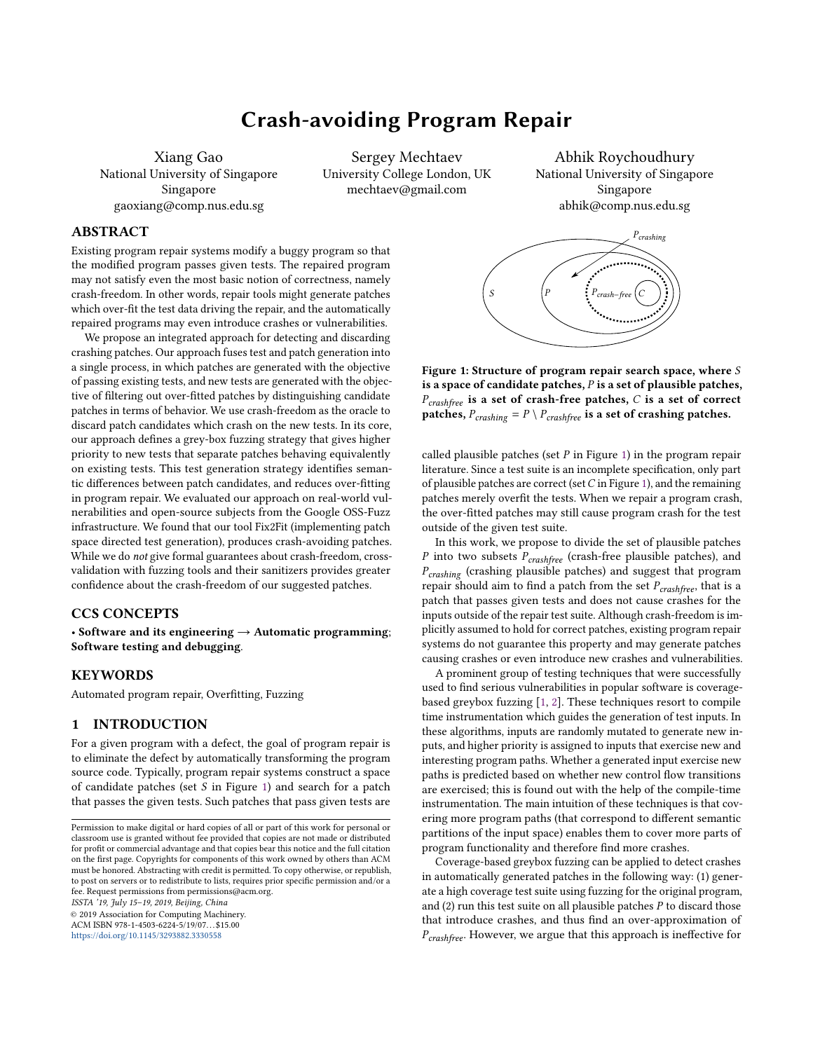#### Crash-avoiding Program Repair do not give formal guarantees about crash-freedom, cross validation about the crash-freedom of our suggested patches.  $\sum_{i=1}^n$  $5<sup>1</sup>$ um nopum

Xiang Gao National University of Singapore Anonymous Author(s). 2019. Fix2Fit: Crash-avoidance in Automatically Singapore m gaoxiang@comp.nus.edu.sg ronal University of Singapole Conversity Coneg

Sergey Mechtaev University College London, UK mechtaev@gmail.com

ev Abhik Roychoudhury National University of Singapore Singapore abhik@comp.nus.edu.sg

# **ABSTRACT**

Existing program repair systems modify a buggy program so that the modified program passes given tests. The repaired program may not satisfy even the most basic notion of correctness, namely crash-freedom. In other words, repair tools might generate patches which over-fit the test data driving the repair, and the automatically repaired programs may even introduce crashes or vulnerabilities. sh-freedom. In other words, repair tools might generate patches togram repair systems modify a buggy program so that

We propose an integrated approach for detecting and discarding crashing patches. Our approach fuses test and patch generation into 50 a single process, in which patches are generated with the objective of passing existing tests, and new tests are generated with the objective of filtering out over-fitted patches by distinguishing candidate patches in terms of behavior. We use crash-freedom as the oracle to discard patch candidates which crash on the new tests. In its core, our approach defines a grey-box fuzzing strategy that gives higher priority to new tests that separate patches behaving equivalently on existing tests. This test generation strategy identifies semantic differences between patch candidates, and reduces over-fitting in program repair. We evaluated our approach on real-world vulnerabilities and open-source subjects from the Google OSS-Fuzz infrastructure. We found that our tool Fix2Fit (implementing patch space directed test generation), produces crash-avoiding patches. While we do not give formal guarantees about crash-freedom, crossvalidation with fuzzing tools and their sanitizers provides greater confidence about the crash-freedom of our suggested patches.

### CCS CONCEPTS

• Software and its engineering  $\rightarrow$  Automatic programming; Software testing and debugging.

#### **KEYWORDS**

Automated program repair, Overfitting, Fuzzing

#### 1 INTRODUCTION

For a given program with a defect, the goal of program repair is to eliminate the defect by automatically transforming the program source code. Typically, program repair systems construct a space of candidate patches (set  $S$  in Figure [1\)](#page-0-0) and search for a patch that passes the given tests. Such patches that pass given tests are

ISSTA '19, July 15–19, 2019, Beijing, China

© 2019 Association for Computing Machinery.

ACM ISBN 978-1-4503-6224-5/19/07. . . \$15.00 <https://doi.org/10.1145/3293882.3330558>

<span id="page-0-0"></span>P<sub>crash−free</sub> P<sub>crashing</sub> C

is a space of candidate patches,  $P$  is a set of plausible patches,  $P_{crashfree}$  is a set of crash-free patches, C is a set of correct patches,  $P_{crashing} = P \setminus P_{crashfree}$  is a set of crashing patches. Figure 1: Structure of program repair search space, where S

called plausible patches (set  $P$  in Figure [1\)](#page-0-0) in the program repair literature. Since a test suite is an incomplete specification, only part of plausible patches are correct (set  $C$  in Figure [1\)](#page-0-0), and the remaining patches merely overfit the tests. When we repair a program crash, the over-fitted patches may still cause program crash for the test outside of the given test suite.

In this work, we propose to divide the set of plausible patches P into two subsets  $P_{crashfree}$  (crash-free plausible patches), and  $P_{crashing}$  (crashing plausible patches) and suggest that program repair should aim to find a patch from the set  $P_{crashfree}$ , that is a patch that passes given tests and does not cause crashes for the inputs outside of the repair test suite. Although crash-freedom is implicitly assumed to hold for correct patches, existing program repair systems do not guarantee this property and may generate patches causing crashes or even introduce new crashes and vulnerabilities.

A prominent group of testing techniques that were successfully used to find serious vulnerabilities in popular software is coveragebased greybox fuzzing [\[1,](#page-10-0) [2\]](#page-10-1). These techniques resort to compile time instrumentation which guides the generation of test inputs. In these algorithms, inputs are randomly mutated to generate new inputs, and higher priority is assigned to inputs that exercise new and interesting program paths. Whether a generated input exercise new paths is predicted based on whether new control flow transitions are exercised; this is found out with the help of the compile-time instrumentation. The main intuition of these techniques is that covering more program paths (that correspond to different semantic partitions of the input space) enables them to cover more parts of program functionality and therefore find more crashes.

Coverage-based greybox fuzzing can be applied to detect crashes in automatically generated patches in the following way: (1) generate a high coverage test suite using fuzzing for the original program, and  $(2)$  run this test suite on all plausible patches  $P$  to discard those that introduce crashes, and thus find an over-approximation of  $P_{crashfree}$ . However, we argue that this approach is ineffective for

Permission to make digital or hard copies of all or part of this work for personal or classroom use is granted without fee provided that copies are not made or distributed for profit or commercial advantage and that copies bear this notice and the full citation on the first page. Copyrights for components of this work owned by others than ACM must be honored. Abstracting with credit is permitted. To copy otherwise, or republish, to post on servers or to redistribute to lists, requires prior specific permission and/or a fee. Request permissions from permissions@acm.org.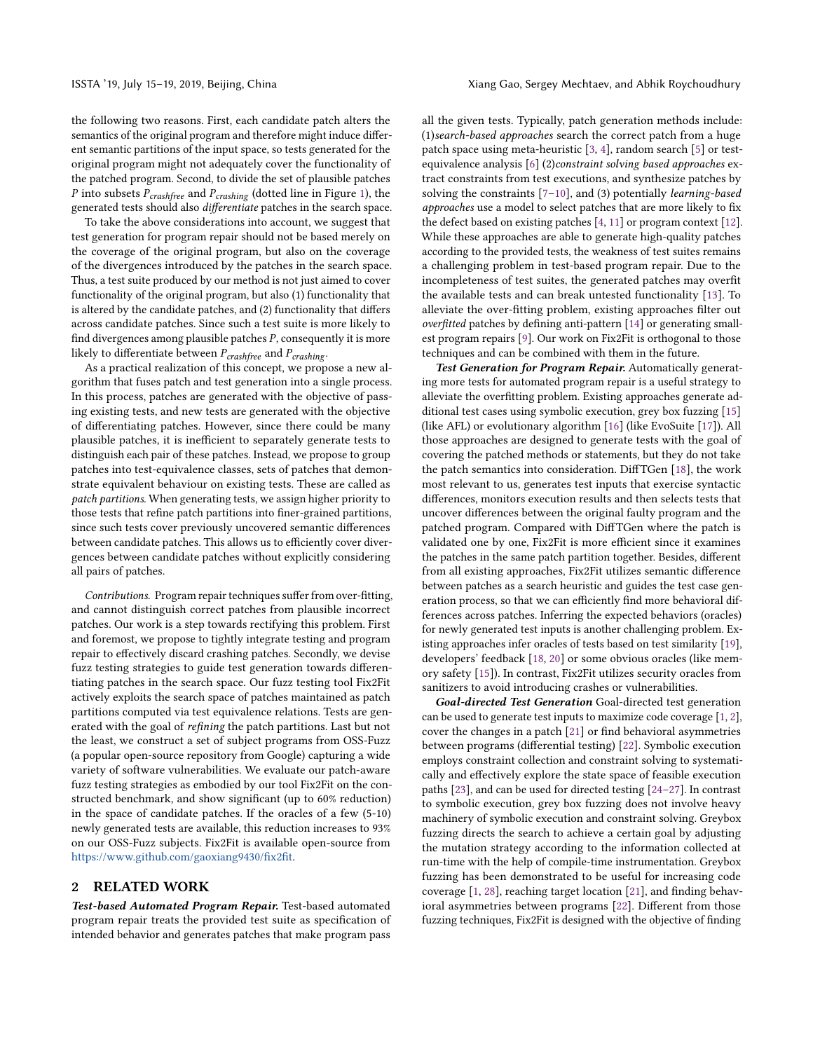the following two reasons. First, each candidate patch alters the semantics of the original program and therefore might induce different semantic partitions of the input space, so tests generated for the original program might not adequately cover the functionality of the patched program. Second, to divide the set of plausible patches P into subsets  $P_{crashfree}$  and  $P_{crashing}$  (dotted line in Figure [1\)](#page-0-0), the generated tests should also differentiate patches in the search space.

To take the above considerations into account, we suggest that test generation for program repair should not be based merely on the coverage of the original program, but also on the coverage of the divergences introduced by the patches in the search space. Thus, a test suite produced by our method is not just aimed to cover functionality of the original program, but also (1) functionality that is altered by the candidate patches, and (2) functionality that differs across candidate patches. Since such a test suite is more likely to find divergences among plausible patches P, consequently it is more likely to differentiate between  $P_{crashfree}$  and  $P_{crashing}$ .

As a practical realization of this concept, we propose a new algorithm that fuses patch and test generation into a single process. In this process, patches are generated with the objective of passing existing tests, and new tests are generated with the objective of differentiating patches. However, since there could be many plausible patches, it is inefficient to separately generate tests to distinguish each pair of these patches. Instead, we propose to group patches into test-equivalence classes, sets of patches that demonstrate equivalent behaviour on existing tests. These are called as patch partitions. When generating tests, we assign higher priority to those tests that refine patch partitions into finer-grained partitions, since such tests cover previously uncovered semantic differences between candidate patches. This allows us to efficiently cover divergences between candidate patches without explicitly considering all pairs of patches.

Contributions. Program repair techniques suffer from over-fitting, and cannot distinguish correct patches from plausible incorrect patches. Our work is a step towards rectifying this problem. First and foremost, we propose to tightly integrate testing and program repair to effectively discard crashing patches. Secondly, we devise fuzz testing strategies to guide test generation towards differentiating patches in the search space. Our fuzz testing tool Fix2Fit actively exploits the search space of patches maintained as patch partitions computed via test equivalence relations. Tests are generated with the goal of refining the patch partitions. Last but not the least, we construct a set of subject programs from OSS-Fuzz (a popular open-source repository from Google) capturing a wide variety of software vulnerabilities. We evaluate our patch-aware fuzz testing strategies as embodied by our tool Fix2Fit on the constructed benchmark, and show significant (up to 60% reduction) in the space of candidate patches. If the oracles of a few (5-10) newly generated tests are available, this reduction increases to 93% on our OSS-Fuzz subjects. Fix2Fit is available open-source from [https://www.github.com/gaoxiang9430/fix2fit.](https://www.github.com/gaoxiang9430/fix2fit)

#### 2 RELATED WORK

Test-based Automated Program Repair. Test-based automated program repair treats the provided test suite as specification of intended behavior and generates patches that make program pass all the given tests. Typically, patch generation methods include: (1)search-based approaches search the correct patch from a huge patch space using meta-heuristic [\[3,](#page-10-2) [4\]](#page-10-3), random search [\[5\]](#page-10-4) or testequivalence analysis [\[6\]](#page-10-5) (2)constraint solving based approaches extract constraints from test executions, and synthesize patches by solving the constraints  $[7-10]$  $[7-10]$ , and (3) potentially *learning-based* approaches use a model to select patches that are more likely to fix the defect based on existing patches [\[4,](#page-10-3) [11\]](#page-10-8) or program context [\[12\]](#page-10-9). While these approaches are able to generate high-quality patches according to the provided tests, the weakness of test suites remains a challenging problem in test-based program repair. Due to the incompleteness of test suites, the generated patches may overfit the available tests and can break untested functionality [\[13\]](#page-10-10). To alleviate the over-fitting problem, existing approaches filter out overfitted patches by defining anti-pattern [\[14\]](#page-10-11) or generating smallest program repairs [\[9\]](#page-10-12). Our work on Fix2Fit is orthogonal to those techniques and can be combined with them in the future.

Test Generation for Program Repair. Automatically generating more tests for automated program repair is a useful strategy to alleviate the overfitting problem. Existing approaches generate additional test cases using symbolic execution, grey box fuzzing [\[15\]](#page-10-13) (like AFL) or evolutionary algorithm [\[16\]](#page-10-14) (like EvoSuite [\[17\]](#page-10-15)). All those approaches are designed to generate tests with the goal of covering the patched methods or statements, but they do not take the patch semantics into consideration. DiffTGen [\[18\]](#page-10-16), the work most relevant to us, generates test inputs that exercise syntactic differences, monitors execution results and then selects tests that uncover differences between the original faulty program and the patched program. Compared with DiffTGen where the patch is validated one by one, Fix2Fit is more efficient since it examines the patches in the same patch partition together. Besides, different from all existing approaches, Fix2Fit utilizes semantic difference between patches as a search heuristic and guides the test case generation process, so that we can efficiently find more behavioral differences across patches. Inferring the expected behaviors (oracles) for newly generated test inputs is another challenging problem. Existing approaches infer oracles of tests based on test similarity [\[19\]](#page-10-17), developers' feedback [\[18,](#page-10-16) [20\]](#page-10-18) or some obvious oracles (like memory safety [\[15\]](#page-10-13)). In contrast, Fix2Fit utilizes security oracles from sanitizers to avoid introducing crashes or vulnerabilities.

Goal-directed Test Generation Goal-directed test generation can be used to generate test inputs to maximize code coverage [\[1,](#page-10-0) [2\]](#page-10-1), cover the changes in a patch [\[21\]](#page-10-19) or find behavioral asymmetries between programs (differential testing) [\[22\]](#page-10-20). Symbolic execution employs constraint collection and constraint solving to systematically and effectively explore the state space of feasible execution paths [\[23\]](#page-10-21), and can be used for directed testing [\[24](#page-10-22)[–27\]](#page-10-23). In contrast to symbolic execution, grey box fuzzing does not involve heavy machinery of symbolic execution and constraint solving. Greybox fuzzing directs the search to achieve a certain goal by adjusting the mutation strategy according to the information collected at run-time with the help of compile-time instrumentation. Greybox fuzzing has been demonstrated to be useful for increasing code coverage [\[1,](#page-10-0) [28\]](#page-10-24), reaching target location [\[21\]](#page-10-19), and finding behavioral asymmetries between programs [\[22\]](#page-10-20). Different from those fuzzing techniques, Fix2Fit is designed with the objective of finding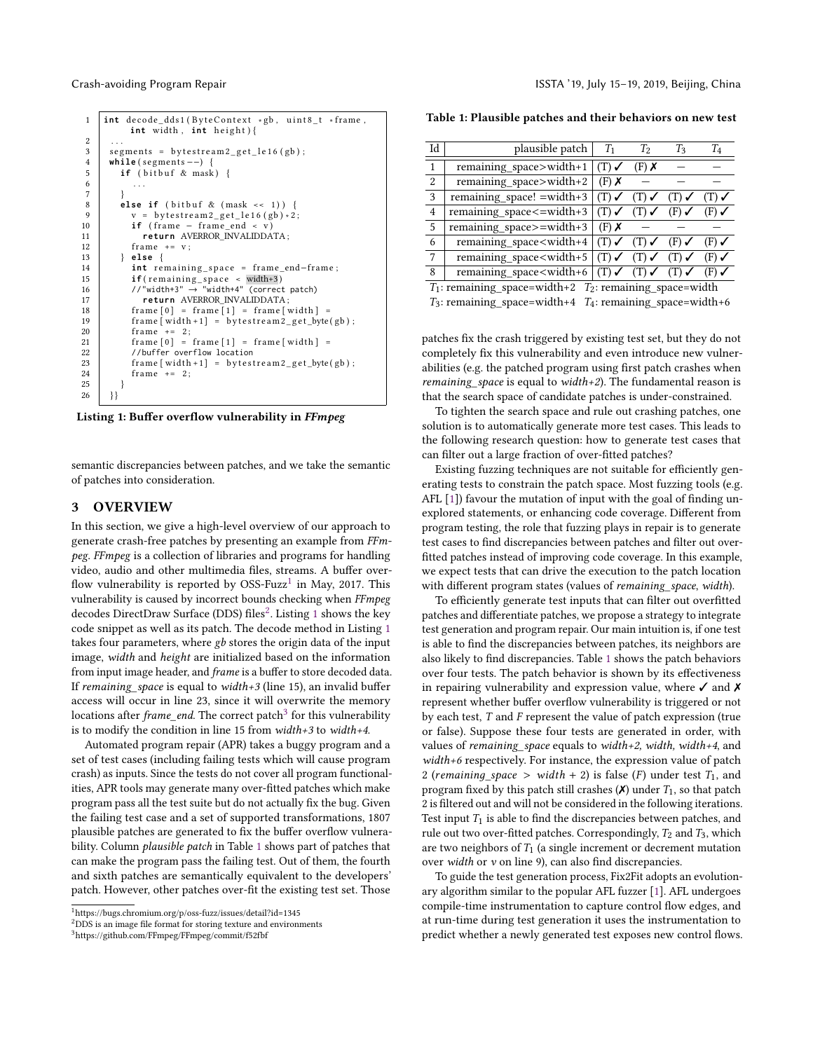```
1 | int decode_dds1(ByteContext *gb, uint8_t *frame,
              int width, int height) {
2 . . .
\begin{array}{c|c} 3 & \text{segments} = \text{bytes} - 2 \text{ get} \text{ else} \\ 4 & \text{while} (\text{segments} - -) \end{array}4 while (segments --) {<br>5 if (bitbuf & mask
\begin{array}{c|c} 5 & \text{if (birthuf & \& mask)} \\ 6 & \dots \end{array}6 \quad . . .7 }
8 else if (bitbuf & (mask << 1)) {<br>y = bytestream2 get \lceil \frac{16}{9} \rceil \times 2\label{eq:vel} \begin{array}{ll} v & = & \texttt{bytestream2\_get\_le16}\ (g\texttt{b}) * 2\,; \end{array}10 if (frame – frame_end < v)
11 return AVERROR_INVALIDDATA ;
12 frame += v;13 } else {
14 int remaining_space = frame_end-frame;
15 if ( r em ai ni n g_ s p a c e < width+3 )
16 //"width+3" → "width+4" (correct patch)
17 return AVERROR_INVALIDDATA ;
18 frame [0] = frame [1] = frame [\text{width}] =
19 \left\{\n \begin{array}{r}\n \text{frame} \left[\n \text{width} + 1\right] = \text{bytes} \text{t} - \text{get\_byte(gb)}\n \end{array}\n \right.20 frame += 2;
21 \vert frame [0] = frame [1] = frame [\text{width}] =
22 //buffer overflow location<br>23 frame[width+1] = bytest
               frame [ width +1] = bytes tree am 2.get_b y te (gb);24 \vert frame += 2;2526 \begin{array}{c} 26 \\ -1 \end{array}
```
Listing 1: Buffer overflow vulnerability in FFmpeg

semantic discrepancies between patches, and we take the semantic of patches into consideration.

#### 3 OVERVIEW

In this section, we give a high-level overview of our approach to generate crash-free patches by presenting an example from FFmpeg. FFmpeg is a collection of libraries and programs for handling video, audio and other multimedia files, streams. A buffer over-flow vulnerability is reported by OSS-Fuzz<sup>[1](#page-2-0)</sup> in May, 2017. This vulnerability is caused by incorrect bounds checking when FFmpeg decodes DirectDraw Surface (DDS) files<sup>[2](#page-2-1)</sup>. Listing [1](#page-2-2) shows the key code snippet as well as its patch. The decode method in Listing [1](#page-2-2) takes four parameters, where gb stores the origin data of the input image, width and height are initialized based on the information from input image header, and *frame* is a buffer to store decoded data. If remaining space is equal to width+3 (line 15), an invalid buffer access will occur in line 23, since it will overwrite the memory locations after *frame\_end*. The correct patch<sup>[3](#page-2-3)</sup> for this vulnerability is to modify the condition in line 15 from width+3 to width+4.

Automated program repair (APR) takes a buggy program and a set of test cases (including failing tests which will cause program crash) as inputs. Since the tests do not cover all program functionalities, APR tools may generate many over-fitted patches which make program pass all the test suite but do not actually fix the bug. Given the failing test case and a set of supported transformations, 1807 plausible patches are generated to fix the buffer overflow vulnerability. Column *plausible patch* in Table [1](#page-2-4) shows part of patches that can make the program pass the failing test. Out of them, the fourth and sixth patches are semantically equivalent to the developers' patch. However, other patches over-fit the existing test set. Those

<span id="page-2-3"></span><sup>3</sup>https://github.com/FFmpeg/FFmpeg/commit/f52fbf

<span id="page-2-4"></span>Table 1: Plausible patches and their behaviors on new test

ċ

| Id             | plausible patch                                                                                                                                                                                            | $T_1$              | T <sub>2</sub>                                     | $T_3$                                              | T <sub>4</sub>     |
|----------------|------------------------------------------------------------------------------------------------------------------------------------------------------------------------------------------------------------|--------------------|----------------------------------------------------|----------------------------------------------------|--------------------|
| 1              | remaining_space>width+1                                                                                                                                                                                    | $(T)$ $\checkmark$ | $(F)$ X                                            |                                                    |                    |
| 2              | remaining_space>width+2                                                                                                                                                                                    | $(F)$ X            |                                                    |                                                    |                    |
| 3              | remaining space! $=$ width+3                                                                                                                                                                               | $(T)$ $\checkmark$ | $(T)$ $\checkmark$                                 | $(T)$ $\checkmark$                                 | $(T)$ $\checkmark$ |
| $\overline{4}$ | remaining_space<=width+3                                                                                                                                                                                   | $(T)$ $\checkmark$ |                                                    | $(T) \checkmark$ (F) $\checkmark$                  | $(F)$ $\checkmark$ |
| $\overline{5}$ | remaining_space>=width+3                                                                                                                                                                                   | $(F)$ X            |                                                    |                                                    |                    |
| 6              | remaining_space <width+4< td=""><td></td><td><math>(T) \checkmark</math> <math>(T) \checkmark</math> <math>(F) \checkmark</math></td><td></td><td><math>(F)</math> <math>\checkmark</math></td></width+4<> |                    | $(T) \checkmark$ $(T) \checkmark$ $(F) \checkmark$ |                                                    | $(F)$ $\checkmark$ |
| 7              | remaining_space <width+5< td=""><td></td><td></td><td><math>(T) \checkmark</math> (T) <math>\checkmark</math> (T) <math>\checkmark</math></td><td><math>(F)</math> <math>\checkmark</math></td></width+5<> |                    |                                                    | $(T) \checkmark$ (T) $\checkmark$ (T) $\checkmark$ | $(F)$ $\checkmark$ |
| 8              | remaining_space <width+6< td=""><td></td><td></td><td><math>(T) \checkmark</math> (T) <math>\checkmark</math> (T) <math>\checkmark</math></td><td><math>(F)</math> <math>\checkmark</math></td></width+6<> |                    |                                                    | $(T) \checkmark$ (T) $\checkmark$ (T) $\checkmark$ | $(F)$ $\checkmark$ |
|                | $T_1$ : remaining space=width+2 $T_2$ : remaining space=width                                                                                                                                              |                    |                                                    |                                                    |                    |

 $T_3$ : remaining\_space=width+4  $T_4$ : remaining\_space=width+6

patches fix the crash triggered by existing test set, but they do not completely fix this vulnerability and even introduce new vulnerabilities (e.g. the patched program using first patch crashes when *remaining* space is equal to width+2). The fundamental reason is that the search space of candidate patches is under-constrained.

To tighten the search space and rule out crashing patches, one solution is to automatically generate more test cases. This leads to the following research question: how to generate test cases that can filter out a large fraction of over-fitted patches?

Existing fuzzing techniques are not suitable for efficiently generating tests to constrain the patch space. Most fuzzing tools (e.g. AFL [\[1\]](#page-10-0)) favour the mutation of input with the goal of finding unexplored statements, or enhancing code coverage. Different from program testing, the role that fuzzing plays in repair is to generate test cases to find discrepancies between patches and filter out overfitted patches instead of improving code coverage. In this example, we expect tests that can drive the execution to the patch location with different program states (values of remaining\_space, width).

To efficiently generate test inputs that can filter out overfitted patches and differentiate patches, we propose a strategy to integrate test generation and program repair. Our main intuition is, if one test is able to find the discrepancies between patches, its neighbors are also likely to find discrepancies. Table [1](#page-2-4) shows the patch behaviors over four tests. The patch behavior is shown by its effectiveness in repairing vulnerability and expression value, where  $\checkmark$  and  $\checkmark$ represent whether buffer overflow vulnerability is triggered or not by each test, T and F represent the value of patch expression (true or false). Suppose these four tests are generated in order, with values of remaining\_space equals to width+2, width, width+4, and width+6 respectively. For instance, the expression value of patch 2 (remaining\_space > width + 2) is false (F) under test  $T_1$ , and program fixed by this patch still crashes  $(X)$  under  $T_1$ , so that patch 2 is filtered out and will not be considered in the following iterations. Test input  $T_1$  is able to find the discrepancies between patches, and rule out two over-fitted patches. Correspondingly,  $T_2$  and  $T_3$ , which are two neighbors of  $T_1$  (a single increment or decrement mutation over width or  $v$  on line 9), can also find discrepancies.

To guide the test generation process, Fix2Fit adopts an evolutionary algorithm similar to the popular AFL fuzzer [\[1\]](#page-10-0). AFL undergoes compile-time instrumentation to capture control flow edges, and at run-time during test generation it uses the instrumentation to predict whether a newly generated test exposes new control flows.

<span id="page-2-0"></span> $^1$ https://bugs.chromium.org/p/oss-fuzz/issues/detail?id=1345

<span id="page-2-1"></span><sup>2</sup>DDS is an image file format for storing texture and environments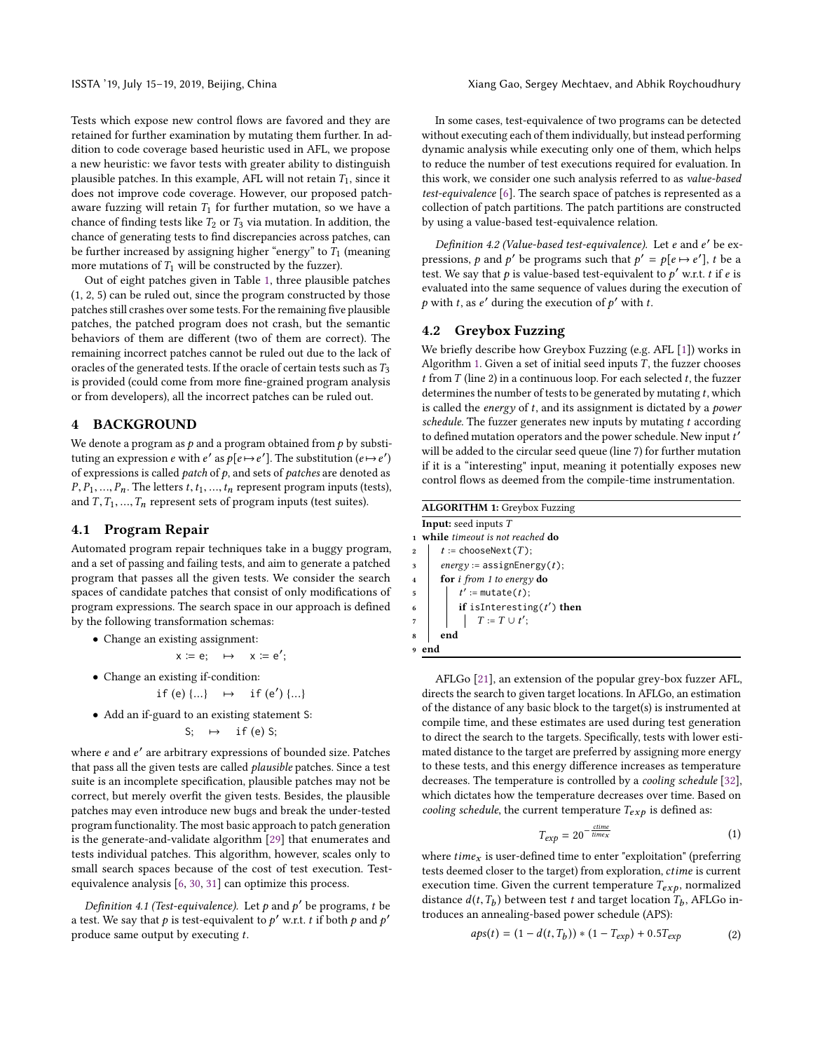Tests which expose new control flows are favored and they are retained for further examination by mutating them further. In addition to code coverage based heuristic used in AFL, we propose a new heuristic: we favor tests with greater ability to distinguish plausible patches. In this example, AFL will not retain  $T_1$ , since it does not improve code coverage. However, our proposed patchaware fuzzing will retain  $T_1$  for further mutation, so we have a chance of finding tests like  $T_2$  or  $T_3$  via mutation. In addition, the chance of generating tests to find discrepancies across patches, can be further increased by assigning higher "energy" to  $T_1$  (meaning more mutations of  $T_1$  will be constructed by the fuzzer).

Out of eight patches given in Table [1,](#page-2-4) three plausible patches (1, 2, 5) can be ruled out, since the program constructed by those patches still crashes over some tests. For the remaining five plausible patches, the patched program does not crash, but the semantic behaviors of them are different (two of them are correct). The remaining incorrect patches cannot be ruled out due to the lack of oracles of the generated tests. If the oracle of certain tests such as  $T_3$ is provided (could come from more fine-grained program analysis or from developers), all the incorrect patches can be ruled out.

### 4 BACKGROUND

We denote a program as  $p$  and a program obtained from  $p$  by substituting an expression e with e' as  $p[e \mapsto e']$ . The substitution  $(e \mapsto e')$ of expressions is called *patch* of  $p$ , and sets of *patches* are denoted as  $P, P_1, \ldots, P_n$ . The letters  $t, t_1, \ldots, t_n$  represent program inputs (tests), and  $T, T_1, ..., T_n$  represent sets of program inputs (test suites).

#### 4.1 Program Repair

Automated program repair techniques take in a buggy program, and a set of passing and failing tests, and aim to generate a patched program that passes all the given tests. We consider the search spaces of candidate patches that consist of only modifications of program expressions. The search space in our approach is defined by the following transformation schemas:

• Change an existing assignment:

$$
x \coloneqq e; \quad \mapsto \quad x \coloneqq e';
$$

• Change an existing if-condition:

\n- if (e) 
$$
\{...\}
$$
  $\mapsto$  if (e')  $\{...\}$
\n- Add an if-guard to an existing statement S:
\n

$$
S: \rightarrow
$$
 if (e) S;

where e and e' are arbitrary expressions of bounded size. Patches that pass all the given tests are called plausible patches. Since a test suite is an incomplete specification, plausible patches may not be correct, but merely overfit the given tests. Besides, the plausible patches may even introduce new bugs and break the under-tested program functionality. The most basic approach to patch generation is the generate-and-validate algorithm [\[29\]](#page-10-25) that enumerates and tests individual patches. This algorithm, however, scales only to small search spaces because of the cost of test execution. Testequivalence analysis [\[6,](#page-10-5) [30,](#page-10-26) [31\]](#page-10-27) can optimize this process.

Definition 4.1 (Test-equivalence). Let  $p$  and  $p'$  be programs, t be a test. We say that p is test-equivalent to p' w.r.t. t if both p and p' produce same output by executing t.

In some cases, test-equivalence of two programs can be detected without executing each of them individually, but instead performing dynamic analysis while executing only one of them, which helps to reduce the number of test executions required for evaluation. In this work, we consider one such analysis referred to as value-based test-equivalence [\[6\]](#page-10-5). The search space of patches is represented as a collection of patch partitions. The patch partitions are constructed by using a value-based test-equivalence relation.

Definition 4.2 (Value-based test-equivalence). Let e and e' be expressions, p and p' be programs such that  $p' = p[e \mapsto e']$ , t be a test. We say that  $\hat{p}$  is value-based test-equivalent to  $p'$  w.r.t. t if e is evaluated into the same sequence of values during the execution of p with t, as  $e'$  during the execution of  $p'$  with t.

#### 4.2 Greybox Fuzzing

We briefly describe how Greybox Fuzzing (e.g. AFL [\[1\]](#page-10-0)) works in Algorithm [1.](#page-3-0) Given a set of initial seed inputs  $T$ , the fuzzer chooses  $t$  from  $T$  (line 2) in a continuous loop. For each selected  $t$ , the fuzzer determines the number of tests to be generated by mutating  $t$ , which is called the energy of  $t$ , and its assignment is dictated by a power schedule. The fuzzer generates new inputs by mutating  $t$  according to defined mutation operators and the power schedule. New input t' will be added to the circular seed queue (line 7) for further mutation if it is a "interesting" input, meaning it potentially exposes new control flows as deemed from the compile-time instrumentation.

<span id="page-3-0"></span>

|                | <b>ALGORITHM 1:</b> Greybox Fuzzing         |
|----------------|---------------------------------------------|
|                | <b>Input:</b> seed inputs $T$               |
|                | while timeout is not reached do             |
| $\overline{2}$ | $t := \text{chooseNext}(T)$ ;               |
| 3              | $energy := assignEnergy(t);$                |
| $\overline{4}$ | for <i>i</i> from 1 to energy $d\mathbf{o}$ |
| 5              | $t' := \text{mutate}(t)$ :                  |
| 6              | if is Interesting $(t')$ then               |
|                | $T := T \cup t'$ ;                          |
|                | end                                         |
|                |                                             |

AFLGo [\[21\]](#page-10-19), an extension of the popular grey-box fuzzer AFL, directs the search to given target locations. In AFLGo, an estimation of the distance of any basic block to the target(s) is instrumented at compile time, and these estimates are used during test generation to direct the search to the targets. Specifically, tests with lower estimated distance to the target are preferred by assigning more energy to these tests, and this energy difference increases as temperature decreases. The temperature is controlled by a cooling schedule [\[32\]](#page-10-28), which dictates how the temperature decreases over time. Based on cooling schedule, the current temperature  $T_{exp}$  is defined as:

<span id="page-3-1"></span>
$$
T_{exp} = 20^{-\frac{c \text{time}}{\text{time} x}} \tag{1}
$$

where  $time_x$  is user-defined time to enter "exploitation" (preferring tests deemed closer to the target) from exploration, ctime is current execution time. Given the current temperature  $T_{exp}$ , normalized distance  $d(t, T_b)$  between test t and target location  $T_b$ , AFLGo introduces an annealing-based power schedule (APS):

$$
aps(t) = (1 - d(t, T_b)) * (1 - T_{exp}) + 0.5T_{exp}
$$
 (2)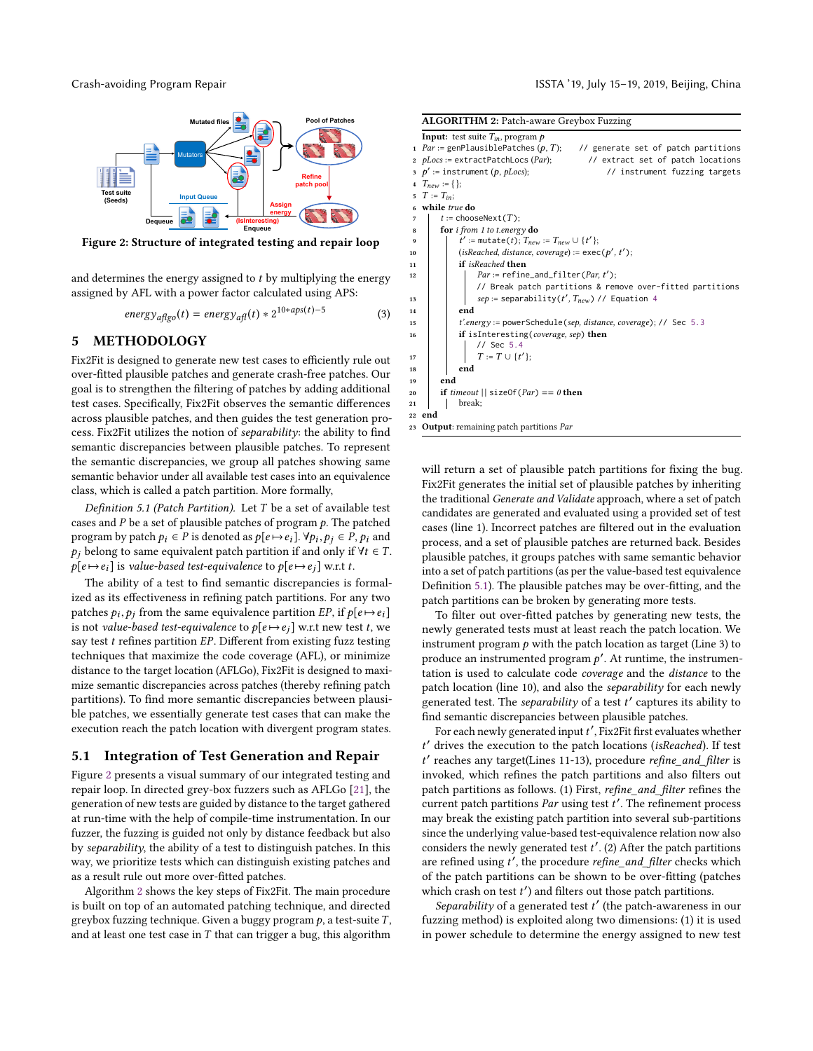<span id="page-4-0"></span>

Figure 2: Structure of integrated testing and repair loop

and determines the energy assigned to  $t$  by multiplying the energy assigned by AFL with a power factor calculated using APS:

$$
energy_{a\text{flgo}}(t) = energy_{a\text{fl}}(t) * 2^{10*aps(t)-5}
$$
 (3)

#### 5 METHODOLOGY

Fix2Fit is designed to generate new test cases to efficiently rule out over-fitted plausible patches and generate crash-free patches. Our goal is to strengthen the filtering of patches by adding additional test cases. Specifically, Fix2Fit observes the semantic differences across plausible patches, and then guides the test generation process. Fix2Fit utilizes the notion of separability: the ability to find semantic discrepancies between plausible patches. To represent the semantic discrepancies, we group all patches showing same semantic behavior under all available test cases into an equivalence class, which is called a patch partition. More formally,

<span id="page-4-2"></span>Definition 5.1 (Patch Partition). Let T be a set of available test cases and  $P$  be a set of plausible patches of program  $p$ . The patched program by patch  $p_i \in P$  is denoted as  $p[e \mapsto e_i]$ .  $\forall p_i, p_j \in P$ ,  $p_i$  and  $p_i$ , belong to some equivalent patch partition if and only if  $\forall t \in T$ .  $p_j$  belong to same equivalent patch partition if and only if  $\forall t \in T$ .  $p[e \mapsto e_i]$  is value-based test-equivalence to  $p[e \mapsto e_i]$  w.r.t t.

The ability of a test to find semantic discrepancies is formalized as its effectiveness in refining patch partitions. For any two patches  $p_i, p_j$  from the same equivalence partition  $EP$ , if  $p[e \mapsto e_i]$ <br>is not value-based test-equivalence to p[e  $\mapsto e_i$ ] w r t new test t we is not value-based test-equivalence to  $p[e \mapsto e_j]$  w.r.t new test t, we say test  $t$  refines partition  $EP$ . Different from existing fuzz testing techniques that maximize the code coverage (AFL), or minimize distance to the target location (AFLGo), Fix2Fit is designed to maximize semantic discrepancies across patches (thereby refining patch partitions). To find more semantic discrepancies between plausible patches, we essentially generate test cases that can make the execution reach the patch location with divergent program states.

#### 5.1 Integration of Test Generation and Repair

Figure [2](#page-4-0) presents a visual summary of our integrated testing and repair loop. In directed grey-box fuzzers such as AFLGo [\[21\]](#page-10-19), the generation of new tests are guided by distance to the target gathered at run-time with the help of compile-time instrumentation. In our fuzzer, the fuzzing is guided not only by distance feedback but also by separability, the ability of a test to distinguish patches. In this way, we prioritize tests which can distinguish existing patches and as a result rule out more over-fitted patches.

Algorithm [2](#page-4-1) shows the key steps of Fix2Fit. The main procedure is built on top of an automated patching technique, and directed greybox fuzzing technique. Given a buggy program  $p$ , a test-suite  $T$ , and at least one test case in  $T$  that can trigger a bug, this algorithm

<span id="page-4-1"></span>

|    | <b>ALGORITHM 2: Patch-aware Greybox Fuzzing</b>                                         |
|----|-----------------------------------------------------------------------------------------|
|    | <b>Input:</b> test suite $T_{in}$ , program $p$                                         |
|    | 1 $Par := genPlausiblePatches (p, T);$<br>// generate set of patch partitions           |
|    | // extract set of patch locations<br>2 <i>pLocs</i> := extractPatchLocs ( <i>Par</i> ); |
|    | 3 $p' :=$ instrument (p, pLocs);<br>// instrument fuzzing targets                       |
|    | 4 $T_{new} := \{\};$                                                                    |
|    | 5 $T := T_{in}$ ;                                                                       |
|    | 6 while true do                                                                         |
| 7  | $t$ := chooseNext(T);                                                                   |
| 8  | for <i>i</i> from 1 to t.energy $d\sigma$                                               |
| 9  | $t' :=$ mutate(t); $T_{new} := T_{new} \cup \{t'\};$                                    |
| 10 | (isReached, distance, coverage) := $exec(p', t')$ ;                                     |
| 11 | if isReached then                                                                       |
| 12 | $Par := \text{refine_and_file}(\text{Par}, t');$                                        |
|    | // Break patch partitions & remove over-fitted partitions                               |
| 13 | $sep := separability(t', T_{new})$ // Equation 4                                        |
| 14 | end                                                                                     |
| 15 | <i>t'.energy</i> := powerSchedule(sep, distance, coverage); // Sec 5.3                  |
| 16 | if isInteresting(coverage, sep) then                                                    |
|    | $11$ Sec 5.4                                                                            |
| 17 | $T := T \cup \{t'\};$                                                                   |
| 18 | end                                                                                     |
| 19 | end                                                                                     |
| 20 | <b>if</b> timeout $\vert \vert$ size Of ( <i>Par</i> ) == 0 <b>then</b>                 |
| 21 | break;                                                                                  |
|    | 22 end                                                                                  |
|    | 23 <b>Output</b> : remaining patch partitions <i>Par</i>                                |

will return a set of plausible patch partitions for fixing the bug. Fix2Fit generates the initial set of plausible patches by inheriting the traditional Generate and Validate approach, where a set of patch candidates are generated and evaluated using a provided set of test cases (line 1). Incorrect patches are filtered out in the evaluation process, and a set of plausible patches are returned back. Besides plausible patches, it groups patches with same semantic behavior into a set of patch partitions (as per the value-based test equivalence Definition [5.1\)](#page-4-2). The plausible patches may be over-fitting, and the patch partitions can be broken by generating more tests.

To filter out over-fitted patches by generating new tests, the newly generated tests must at least reach the patch location. We instrument program  $p$  with the patch location as target (Line 3) to produce an instrumented program  $p'$ . At runtime, the instrumentation is used to calculate code coverage and the distance to the patch location (line 10), and also the separability for each newly -<br>generated test. The *separability* of a test t' captures its ability to find semantic discrepancies between plausible patches.

For each newly generated input t', Fix2Fit first evaluates whether t ′ drives the execution to the patch locations (isReached). If test t' reaches any target(Lines 11-13), procedure refine\_and\_filter is invoked, which refines the patch partitions and also filters out patch partitions as follows. (1) First, refine\_and\_filter refines the current patch partitions  $Par$  using test  $t'$ . The refinement process may break the existing patch partition into several sub-partitions since the underlying value-based test-equivalence relation now also considers the newly generated test  $t'$ . (2) After the patch partitions are refined using t', the procedure refine\_and\_filter checks which of the patch partitions can be shown to be over-fitting (patches which crash on test  $t'$ ) and filters out those patch partitions.

Separability of a generated test  $t'$  (the patch-awareness in our fuzzing method) is exploited along two dimensions: (1) it is used in power schedule to determine the energy assigned to new test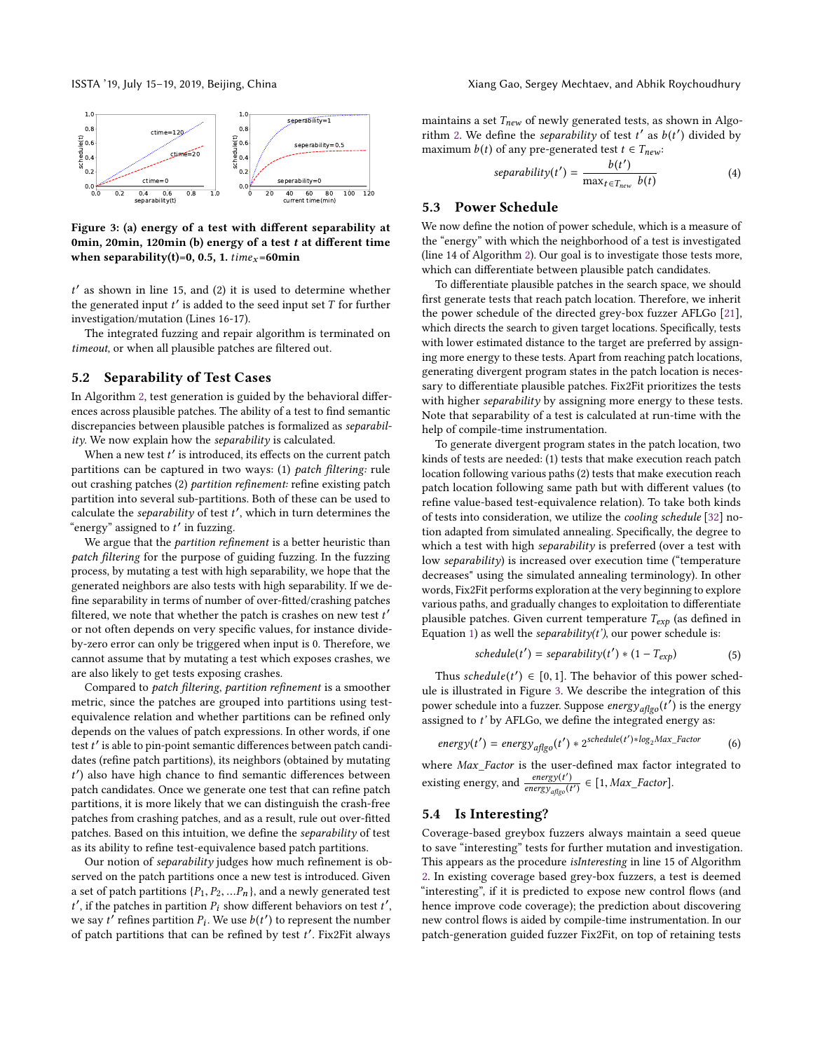<span id="page-5-3"></span>

Figure 3: (a) energy of a test with different separability at 0min, 20min, 120min (b) energy of a test  $t$  at different time when separability(t)=0, 0.5, 1.  $time_x = 60$ min

 $t'$  as shown in line 15, and (2) it is used to determine whether the generated input  $t'$  is added to the seed input set  $T$  for further investigation/mutation (Lines 16-17).

The integrated fuzzing and repair algorithm is terminated on timeout, or when all plausible patches are filtered out.

#### 5.2 Separability of Test Cases

In Algorithm [2,](#page-4-1) test generation is guided by the behavioral differences across plausible patches. The ability of a test to find semantic discrepancies between plausible patches is formalized as separability. We now explain how the separability is calculated.

When a new test  $t'$  is introduced, its effects on the current patch partitions can be captured in two ways: (1) patch filtering: rule out crashing patches (2) partition refinement: refine existing patch partition into several sub-partitions. Both of these can be used to calculate the *separability* of test  $t'$ , which in turn determines the "energy" assigned to t' in fuzzing.

We argue that the *partition refinement* is a better heuristic than patch filtering for the purpose of guiding fuzzing. In the fuzzing process, by mutating a test with high separability, we hope that the generated neighbors are also tests with high separability. If we define separability in terms of number of over-fitted/crashing patches filtered, we note that whether the patch is crashes on new test t' or not often depends on very specific values, for instance divideby-zero error can only be triggered when input is 0. Therefore, we cannot assume that by mutating a test which exposes crashes, we are also likely to get tests exposing crashes.

Compared to patch filtering, partition refinement is a smoother metric, since the patches are grouped into partitions using testequivalence relation and whether partitions can be refined only depends on the values of patch expressions. In other words, if one test t' is able to pin-point semantic differences between patch candidates (refine patch partitions), its neighbors (obtained by mutating t ′ ) also have high chance to find semantic differences between patch candidates. Once we generate one test that can refine patch partitions, it is more likely that we can distinguish the crash-free patches from crashing patches, and as a result, rule out over-fitted patches. Based on this intuition, we define the separability of test as its ability to refine test-equivalence based patch partitions.

Our notion of separability judges how much refinement is observed on the patch partitions once a new test is introduced. Given a set of patch partitions  $\{P_1, P_2, ... P_n\}$ , and a newly generated test  $t'$ , if the patches in partition  $P_i$  show different behaviors on test  $t'$ , we say  $t^{\prime}$  refines partition  $P_i$ . We use  $b(t^{\prime})$  to represent the number of patch partitions that can be refined by test  $t'$ . Fix2Fit always

maintains a set  $T_{new}$  of newly generated tests, as shown in Algo-rithm [2.](#page-4-1) We define the *separability* of test  $t'$  as  $b(t')$  divided by maximum  $b(t)$  of any pre-generated test  $t \in T_{new}$ :

<span id="page-5-0"></span>
$$
separability(t') = \frac{b(t')}{\max_{t \in T_{new}} b(t)}\tag{4}
$$

#### <span id="page-5-1"></span>5.3 Power Schedule

We now define the notion of power schedule, which is a measure of the "energy" with which the neighborhood of a test is investigated (line 14 of Algorithm [2\)](#page-4-1). Our goal is to investigate those tests more, which can differentiate between plausible patch candidates.

To differentiate plausible patches in the search space, we should first generate tests that reach patch location. Therefore, we inherit the power schedule of the directed grey-box fuzzer AFLGo [\[21\]](#page-10-19), which directs the search to given target locations. Specifically, tests with lower estimated distance to the target are preferred by assigning more energy to these tests. Apart from reaching patch locations, generating divergent program states in the patch location is necessary to differentiate plausible patches. Fix2Fit prioritizes the tests with higher separability by assigning more energy to these tests. Note that separability of a test is calculated at run-time with the help of compile-time instrumentation.

To generate divergent program states in the patch location, two kinds of tests are needed: (1) tests that make execution reach patch location following various paths (2) tests that make execution reach patch location following same path but with different values (to refine value-based test-equivalence relation). To take both kinds of tests into consideration, we utilize the cooling schedule [\[32\]](#page-10-28) notion adapted from simulated annealing. Specifically, the degree to which a test with high separability is preferred (over a test with low separability) is increased over execution time ("temperature decreases" using the simulated annealing terminology). In other words, Fix2Fit performs exploration at the very beginning to explore various paths, and gradually changes to exploitation to differentiate plausible patches. Given current temperature  $T_{exp}$  (as defined in Equation [1\)](#page-3-1) as well the *separability(t')*, our power schedule is:

$$
schedule(t') = separability(t') * (1 - T_{exp})
$$
\n<sup>(5)</sup>

Thus schedule(t')  $\in [0, 1]$ . The behavior of this power sched-<br>i. is illustrated in Figure 3. We describe the integration of this ule is illustrated in Figure [3.](#page-5-3) We describe the integration of this power schedule into a fuzzer. Suppose  $\mathit{energy}_{\mathit{affgo}}(t')$  is the energy assigned to t' by AFLGo, we define the integrated energy as:

$$
energy(t') = energy_{\text{aflgo}}(t') * 2^{scheduled(t') * \log_2Max\_Factor}
$$
 (6)

where Max\_Factor is the user-defined max factor integrated to existing energy, and  $\frac{energy(t')}{energy(t')}$  $\frac{energy(t)}{energy_{\text{affgo}}(t')} \in [1, \text{Max\_Factor}].$ 

#### <span id="page-5-2"></span>5.4 Is Interesting?

Coverage-based greybox fuzzers always maintain a seed queue to save "interesting" tests for further mutation and investigation. This appears as the procedure isInteresting in line 15 of Algorithm [2.](#page-4-1) In existing coverage based grey-box fuzzers, a test is deemed "interesting", if it is predicted to expose new control flows (and hence improve code coverage); the prediction about discovering new control flows is aided by compile-time instrumentation. In our patch-generation guided fuzzer Fix2Fit, on top of retaining tests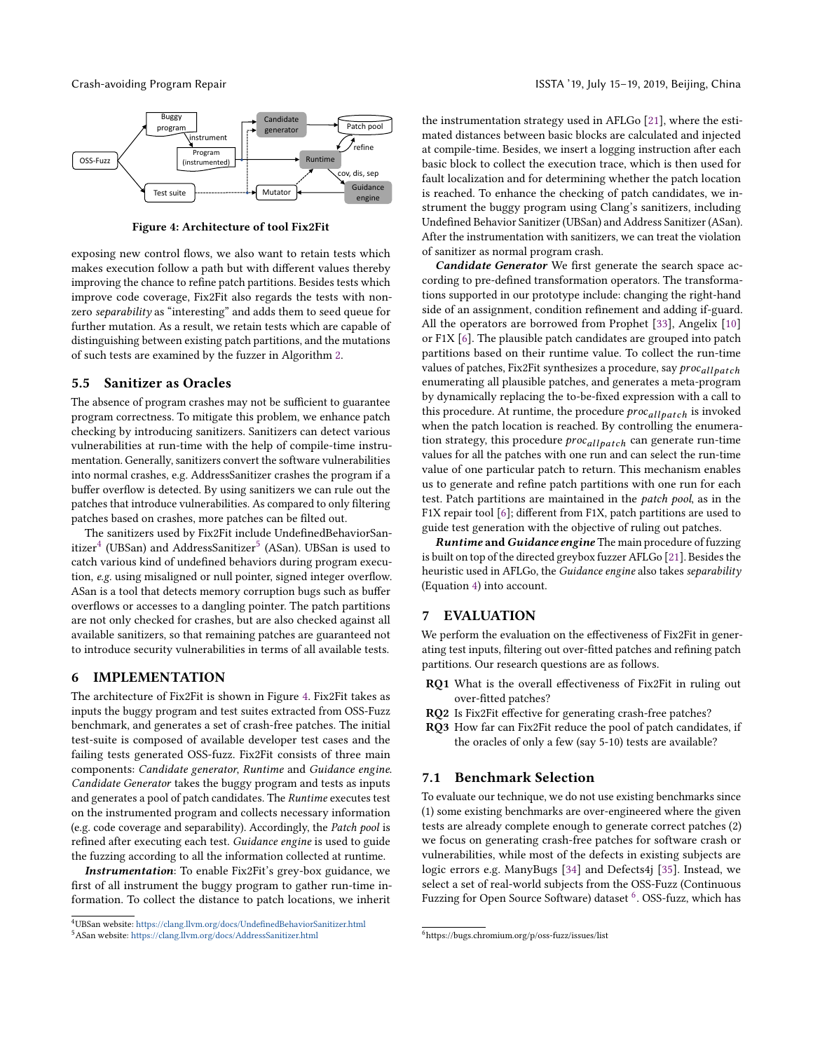<span id="page-6-2"></span>

Figure 4: Architecture of tool Fix2Fit

exposing new control flows, we also want to retain tests which makes execution follow a path but with different values thereby improving the chance to refine patch partitions. Besides tests which improve code coverage, Fix2Fit also regards the tests with nonzero separability as "interesting" and adds them to seed queue for further mutation. As a result, we retain tests which are capable of distinguishing between existing patch partitions, and the mutations of such tests are examined by the fuzzer in Algorithm [2.](#page-4-1)

#### 5.5 Sanitizer as Oracles

The absence of program crashes may not be sufficient to guarantee program correctness. To mitigate this problem, we enhance patch checking by introducing sanitizers. Sanitizers can detect various vulnerabilities at run-time with the help of compile-time instrumentation. Generally, sanitizers convert the software vulnerabilities into normal crashes, e.g. AddressSanitizer crashes the program if a buffer overflow is detected. By using sanitizers we can rule out the patches that introduce vulnerabilities. As compared to only filtering patches based on crashes, more patches can be filted out.

The sanitizers used by Fix2Fit include UndefinedBehaviorSan-itizer<sup>[4](#page-6-0)</sup> (UBSan) and AddressSanitizer<sup>[5](#page-6-1)</sup> (ASan). UBSan is used to catch various kind of undefined behaviors during program execution, e.g. using misaligned or null pointer, signed integer overflow. ASan is a tool that detects memory corruption bugs such as buffer overflows or accesses to a dangling pointer. The patch partitions are not only checked for crashes, but are also checked against all available sanitizers, so that remaining patches are guaranteed not to introduce security vulnerabilities in terms of all available tests.

#### 6 IMPLEMENTATION

The architecture of Fix2Fit is shown in Figure [4.](#page-6-2) Fix2Fit takes as inputs the buggy program and test suites extracted from OSS-Fuzz benchmark, and generates a set of crash-free patches. The initial test-suite is composed of available developer test cases and the failing tests generated OSS-fuzz. Fix2Fit consists of three main components: Candidate generator, Runtime and Guidance engine. Candidate Generator takes the buggy program and tests as inputs and generates a pool of patch candidates. The Runtime executes test on the instrumented program and collects necessary information (e.g. code coverage and separability). Accordingly, the Patch pool is refined after executing each test. Guidance engine is used to guide the fuzzing according to all the information collected at runtime.

Instrumentation: To enable Fix2Fit's grey-box guidance, we first of all instrument the buggy program to gather run-time information. To collect the distance to patch locations, we inherit

the instrumentation strategy used in AFLGo [\[21\]](#page-10-19), where the estimated distances between basic blocks are calculated and injected at compile-time. Besides, we insert a logging instruction after each basic block to collect the execution trace, which is then used for fault localization and for determining whether the patch location is reached. To enhance the checking of patch candidates, we instrument the buggy program using Clang's sanitizers, including Undefined Behavior Sanitizer (UBSan) and Address Sanitizer (ASan). After the instrumentation with sanitizers, we can treat the violation of sanitizer as normal program crash.

Candidate Generator We first generate the search space according to pre-defined transformation operators. The transformations supported in our prototype include: changing the right-hand side of an assignment, condition refinement and adding if-guard. All the operators are borrowed from Prophet [\[33\]](#page-10-29), Angelix [\[10\]](#page-10-7) or F1X [\[6\]](#page-10-5). The plausible patch candidates are grouped into patch partitions based on their runtime value. To collect the run-time values of patches, Fix2Fit synthesizes a procedure, say *proc<sub>allpatch*</sub> enumerating all plausible patches, and generates a meta-program by dynamically replacing the to-be-fixed expression with a call to this procedure. At runtime, the procedure  $proc_{allpatch}$  is invoked when the patch location is reached. By controlling the enumeration strategy, this procedure  $proc_{allbatch}$  can generate run-time values for all the patches with one run and can select the run-time value of one particular patch to return. This mechanism enables us to generate and refine patch partitions with one run for each test. Patch partitions are maintained in the patch pool, as in the F1X repair tool [\[6\]](#page-10-5); different from F1X, patch partitions are used to guide test generation with the objective of ruling out patches.

**Runtime and Guidance engine** The main procedure of fuzzing is built on top of the directed greybox fuzzer AFLGo [\[21\]](#page-10-19). Besides the heuristic used in AFLGo, the Guidance engine also takes separability (Equation [4\)](#page-5-0) into account.

#### 7 EVALUATION

We perform the evaluation on the effectiveness of Fix2Fit in generating test inputs, filtering out over-fitted patches and refining patch partitions. Our research questions are as follows.

- RQ1 What is the overall effectiveness of Fix2Fit in ruling out over-fitted patches?
- RQ2 Is Fix2Fit effective for generating crash-free patches?
- RQ3 How far can Fix2Fit reduce the pool of patch candidates, if the oracles of only a few (say 5-10) tests are available?

#### 7.1 Benchmark Selection

To evaluate our technique, we do not use existing benchmarks since (1) some existing benchmarks are over-engineered where the given tests are already complete enough to generate correct patches (2) we focus on generating crash-free patches for software crash or vulnerabilities, while most of the defects in existing subjects are logic errors e.g. ManyBugs [\[34\]](#page-10-30) and Defects4j [\[35\]](#page-10-31). Instead, we select a set of real-world subjects from the OSS-Fuzz (Continuous Fuzzing for Open Source Software) dataset <sup>[6](#page-6-3)</sup>. OSS-fuzz, which has

<span id="page-6-1"></span><span id="page-6-0"></span><sup>4</sup>UBSan website: <https://clang.llvm.org/docs/UndefinedBehaviorSanitizer.html> <sup>5</sup>ASan website: <https://clang.llvm.org/docs/AddressSanitizer.html>

<span id="page-6-3"></span><sup>6</sup>https://bugs.chromium.org/p/oss-fuzz/issues/list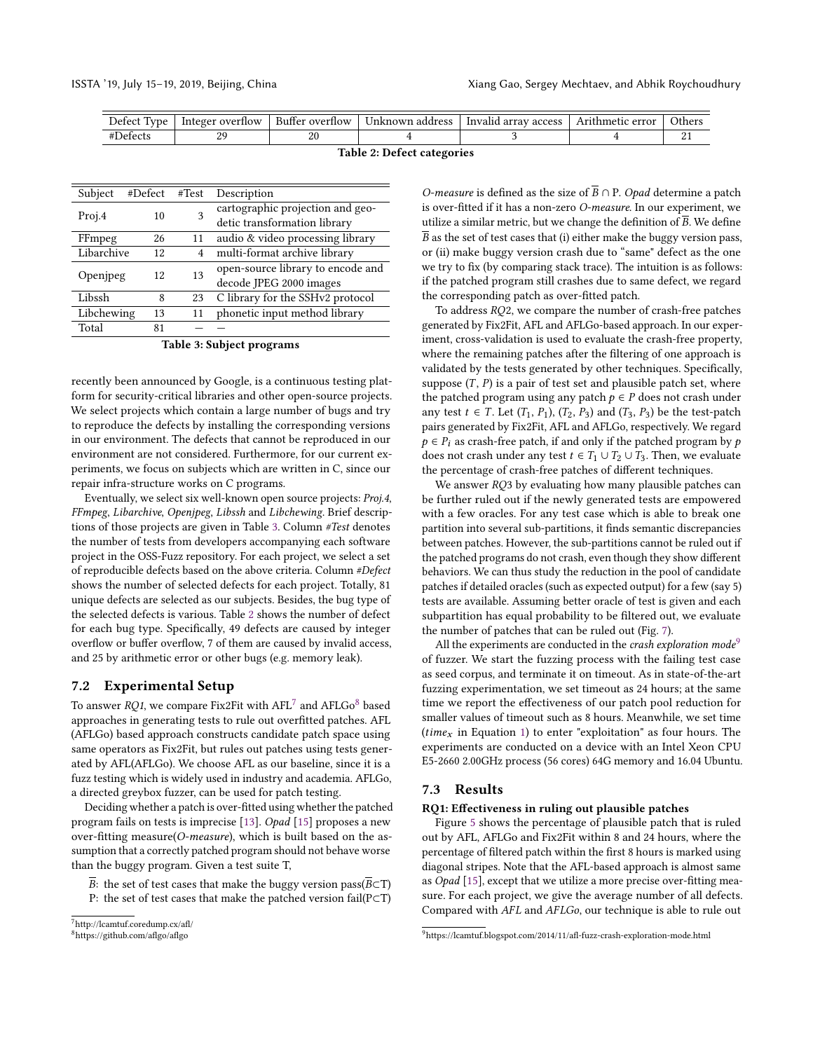<span id="page-7-1"></span>

| Jeteci<br>vne | ∵overtiow<br>reger. | $\sim$<br>$\sim$<br>- Buffer overflow | Jnknown<br>address | -Invalid<br>array access | - Arithmetic error | <b>Others</b> |
|---------------|---------------------|---------------------------------------|--------------------|--------------------------|--------------------|---------------|
|               | o٢                  | n,                                    |                    |                          |                    |               |

|  |  | Table 2: Defect categories |
|--|--|----------------------------|
|--|--|----------------------------|

<span id="page-7-0"></span>

| Subject    | #Defect #Test |    | Description                       |
|------------|---------------|----|-----------------------------------|
| Proj.4     | 10            | 3  | cartographic projection and geo-  |
|            |               |    | detic transformation library      |
| FFmpeg     | 26            | 11 | audio & video processing library  |
| Libarchive | 12            | 4  | multi-format archive library      |
|            | 12            | 13 | open-source library to encode and |
| Openjpeg   |               |    | decode JPEG 2000 images           |
| Libssh     | 8             | 23 | C library for the SSHv2 protocol  |
| Libchewing | 13            | 11 | phonetic input method library     |
| Total      | 81            |    |                                   |

#### Table 3: Subject programs

recently been announced by Google, is a continuous testing platform for security-critical libraries and other open-source projects. We select projects which contain a large number of bugs and try to reproduce the defects by installing the corresponding versions in our environment. The defects that cannot be reproduced in our environment are not considered. Furthermore, for our current experiments, we focus on subjects which are written in C, since our repair infra-structure works on C programs.

Eventually, we select six well-known open source projects: Proj.4, FFmpeg, Libarchive, Openjpeg, Libssh and Libchewing. Brief descriptions of those projects are given in Table [3.](#page-7-0) Column #Test denotes the number of tests from developers accompanying each software project in the OSS-Fuzz repository. For each project, we select a set of reproducible defects based on the above criteria. Column #Defect shows the number of selected defects for each project. Totally, 81 unique defects are selected as our subjects. Besides, the bug type of the selected defects is various. Table [2](#page-7-1) shows the number of defect for each bug type. Specifically, 49 defects are caused by integer overflow or buffer overflow, 7 of them are caused by invalid access, and 25 by arithmetic error or other bugs (e.g. memory leak).

#### 7.2 Experimental Setup

To answer  $RQ1$ , we compare Fix2Fit with  $\rm AFL^7$  $\rm AFL^7$  and  $\rm AFLGo^8$  $\rm AFLGo^8$  based approaches in generating tests to rule out overfitted patches. AFL (AFLGo) based approach constructs candidate patch space using same operators as Fix2Fit, but rules out patches using tests generated by AFL(AFLGo). We choose AFL as our baseline, since it is a fuzz testing which is widely used in industry and academia. AFLGo, a directed greybox fuzzer, can be used for patch testing.

Deciding whether a patch is over-fitted using whether the patched program fails on tests is imprecise [\[13\]](#page-10-10). Opad [\[15\]](#page-10-13) proposes a new over-fitting measure( $O$ -measure), which is built based on the assumption that a correctly patched program should not behave worse than the buggy program. Given a test suite T,

B: the set of test cases that make the buggy version pass( $\overline{B} \subset T$ ) P: the set of test cases that make the patched version fail(P⊂T)

*O-measure* is defined as the size of  $\overline{B} \cap P$ . *Opad* determine a patch is over-fitted if it has a non-zero O-measure. In our experiment, we utilize a similar metric, but we change the definition of  $\overline{B}$ . We define  $\overline{B}$  as the set of test cases that (i) either make the buggy version pass, or (ii) make buggy version crash due to "same" defect as the one we try to fix (by comparing stack trace). The intuition is as follows: if the patched program still crashes due to same defect, we regard the corresponding patch as over-fitted patch.

To address RQ2, we compare the number of crash-free patches generated by Fix2Fit, AFL and AFLGo-based approach. In our experiment, cross-validation is used to evaluate the crash-free property, where the remaining patches after the filtering of one approach is validated by the tests generated by other techniques. Specifically, suppose  $(T, P)$  is a pair of test set and plausible patch set, where the patched program using any patch  $p \in P$  does not crash under any test  $t \in T$ . Let  $(T_1, P_1)$ ,  $(T_2, P_3)$  and  $(T_3, P_3)$  be the test-patch pairs generated by Fix2Fit, AFL and AFLGo, respectively. We regard  $p \in P_i$  as crash-free patch, if and only if the patched program by p does not crash under any test  $t \in T_1 \cup T_2 \cup T_3$ . Then, we evaluate the percentage of crash-free patches of different techniques.

We answer RQ3 by evaluating how many plausible patches can be further ruled out if the newly generated tests are empowered with a few oracles. For any test case which is able to break one partition into several sub-partitions, it finds semantic discrepancies between patches. However, the sub-partitions cannot be ruled out if the patched programs do not crash, even though they show different behaviors. We can thus study the reduction in the pool of candidate patches if detailed oracles (such as expected output) for a few (say 5) tests are available. Assuming better oracle of test is given and each subpartition has equal probability to be filtered out, we evaluate the number of patches that can be ruled out (Fig. [7\)](#page-9-0).

All the experiments are conducted in the *crash exploration mode*<sup>[9](#page-7-4)</sup> of fuzzer. We start the fuzzing process with the failing test case as seed corpus, and terminate it on timeout. As in state-of-the-art fuzzing experimentation, we set timeout as 24 hours; at the same time we report the effectiveness of our patch pool reduction for smaller values of timeout such as 8 hours. Meanwhile, we set time (*time<sub>x</sub>* in Equation [1\)](#page-3-1) to enter "exploitation" as four hours. The experiments are conducted on a device with an Intel Xeon CPU E5-2660 2.00GHz process (56 cores) 64G memory and 16.04 Ubuntu.

#### 7.3 Results

#### RQ1: Effectiveness in ruling out plausible patches

Figure [5](#page-8-0) shows the percentage of plausible patch that is ruled out by AFL, AFLGo and Fix2Fit within 8 and 24 hours, where the percentage of filtered patch within the first 8 hours is marked using diagonal stripes. Note that the AFL-based approach is almost same as Opad [\[15\]](#page-10-13), except that we utilize a more precise over-fitting measure. For each project, we give the average number of all defects. Compared with AFL and AFLGo, our technique is able to rule out

<span id="page-7-2"></span><sup>7</sup>http://lcamtuf.coredump.cx/afl/

<span id="page-7-3"></span><sup>8</sup>https://github.com/aflgo/aflgo

<span id="page-7-4"></span><sup>9</sup>https://lcamtuf.blogspot.com/2014/11/afl-fuzz-crash-exploration-mode.html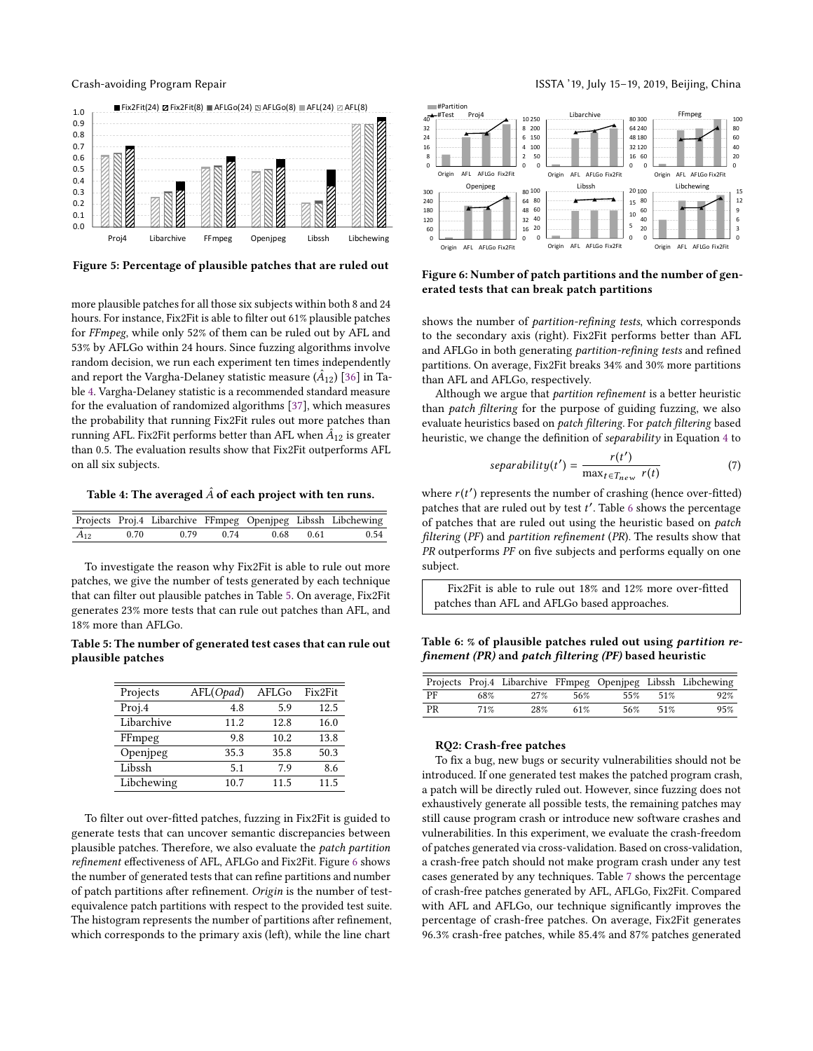<span id="page-8-0"></span>

Figure 5: Percentage of plausible patches that are ruled out

more plausible patches for all those six subjects within both 8 and 24 hours. For instance, Fix2Fit is able to filter out 61% plausible patches for FFmpeg, while only 52% of them can be ruled out by AFL and 53% by AFLGo within 24 hours. Since fuzzing algorithms involve random decision, we run each experiment ten times independently and report the Vargha-Delaney statistic measure  $(\hat{A}_{12})$  [\[36\]](#page-10-32) in Table [4.](#page-8-1) Vargha-Delaney statistic is a recommended standard measure for the evaluation of randomized algorithms [\[37\]](#page-10-33), which measures the probability that running Fix2Fit rules out more patches than running AFL. Fix2Fit performs better than AFL when  $\hat{A}_{12}$  is greater than 0.5. The evaluation results show that Fix2Fit outperforms AFL on all six subjects.

<span id="page-8-1"></span>Table 4: The averaged  $\hat{A}$  of each project with ten runs.

|                |      |  |                     | Projects Proj.4 Libarchive FFmpeg Openjpeg Libssh Libchewing |
|----------------|------|--|---------------------|--------------------------------------------------------------|
| $\hat{A}_{12}$ | 0.70 |  | 0.79 0.74 0.68 0.61 | 0.54                                                         |

To investigate the reason why Fix2Fit is able to rule out more patches, we give the number of tests generated by each technique that can filter out plausible patches in Table [5.](#page-8-2) On average, Fix2Fit generates 23% more tests that can rule out patches than AFL, and 18% more than AFLGo.

<span id="page-8-2"></span>Table 5: The number of generated test cases that can rule out plausible patches

| Projects   | AFL(Opad) | AFLGo | Fix2Fit |
|------------|-----------|-------|---------|
| Proj.4     | 4.8       | 5.9   | 12.5    |
| Libarchive | 11.2      | 12.8  | 16.0    |
| FFmpeg     | 9.8       | 10.2  | 13.8    |
| Openjpeg   | 35.3      | 35.8  | 50.3    |
| Libssh     | 5.1       | 7.9   | 8.6     |
| Libchewing | 10.7      | 11.5  | 11.5    |

To filter out over-fitted patches, fuzzing in Fix2Fit is guided to generate tests that can uncover semantic discrepancies between plausible patches. Therefore, we also evaluate the patch partition refinement effectiveness of AFL, AFLGo and Fix2Fit. Figure [6](#page-8-3) shows the number of generated tests that can refine partitions and number of patch partitions after refinement. Origin is the number of testequivalence patch partitions with respect to the provided test suite. The histogram represents the number of partitions after refinement, which corresponds to the primary axis (left), while the line chart

## Crash-avoiding Program Repair **Interpretent Controller and Crash-avoiding** Program Repair and Crash and Crash and

<span id="page-8-3"></span>

Figure 6: Number of patch partitions and the number of generated tests that can break patch partitions

shows the number of *partition-refining tests*, which corresponds to the secondary axis (right). Fix2Fit performs better than AFL and AFLGo in both generating partition-refining tests and refined partitions. On average, Fix2Fit breaks 34% and 30% more partitions than AFL and AFLGo, respectively.

Although we argue that partition refinement is a better heuristic than patch filtering for the purpose of guiding fuzzing, we also evaluate heuristics based on patch filtering. For patch filtering based heuristic, we change the definition of separability in Equation [4](#page-5-0) to

$$
separability(t') = \frac{r(t')}{\max_{t \in T_{new}} r(t)}\tag{7}
$$

where  $r(t')$  represents the number of crashing (hence over-fitted) patches that are ruled out by test t'. Table [6](#page-8-4) shows the percentage of patches that are ruled out using the heuristic based on patch filtering (PF) and partition refinement (PR). The results show that PR outperforms PF on five subjects and performs equally on one subject.

Fix2Fit is able to rule out 18% and 12% more over-fitted patches than AFL and AFLGo based approaches.

<span id="page-8-4"></span>Table 6: % of plausible patches ruled out using partition refinement (PR) and patch filtering (PF) based heuristic

|    |     |     |     |     |     | Projects Proj.4 Libarchive FFmpeg Openjpeg Libssh Libchewing |
|----|-----|-----|-----|-----|-----|--------------------------------------------------------------|
| PF | 68% | 27% | 56% | 55% | 51% | 92%                                                          |
| PR | 71% | 28% | 61% | 56% | 51% | 95%                                                          |

#### RQ2: Crash-free patches

To fix a bug, new bugs or security vulnerabilities should not be introduced. If one generated test makes the patched program crash, a patch will be directly ruled out. However, since fuzzing does not exhaustively generate all possible tests, the remaining patches may still cause program crash or introduce new software crashes and vulnerabilities. In this experiment, we evaluate the crash-freedom of patches generated via cross-validation. Based on cross-validation, a crash-free patch should not make program crash under any test cases generated by any techniques. Table [7](#page-9-1) shows the percentage of crash-free patches generated by AFL, AFLGo, Fix2Fit. Compared with AFL and AFLGo, our technique significantly improves the percentage of crash-free patches. On average, Fix2Fit generates 96.3% crash-free patches, while 85.4% and 87% patches generated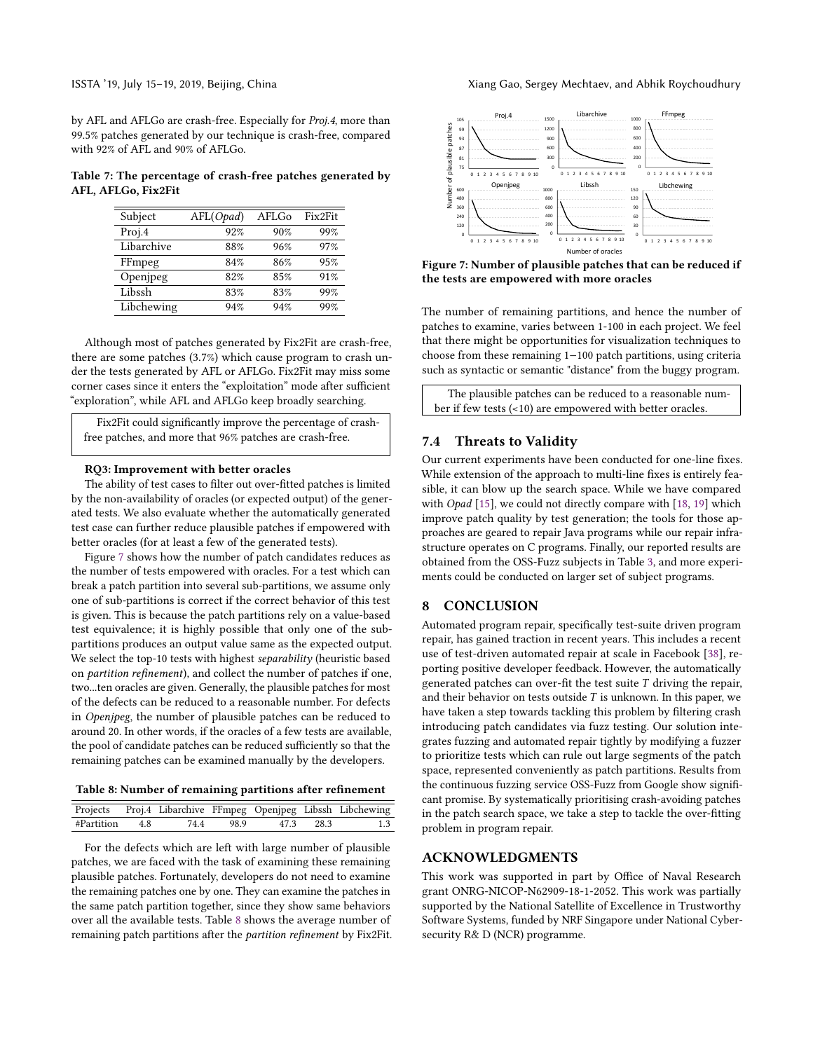by AFL and AFLGo are crash-free. Especially for Proj.4, more than 99.5% patches generated by our technique is crash-free, compared with 92% of AFL and 90% of AFLGo.

<span id="page-9-1"></span>Table 7: The percentage of crash-free patches generated by AFL, AFLGo, Fix2Fit

| Subject    | AFL(Opad) | AFLG0 | Fix2Fit |
|------------|-----------|-------|---------|
| Proj.4     | 92%       | 90%   | 99%     |
| Libarchive | 88%       | 96%   | 97%     |
| FFmpeg     | 84%       | 86%   | 95%     |
| Openjpeg   | 82%       | 85%   | 91%     |
| Libssh     | 83%       | 83%   | 99%     |
| Libchewing | 94%       | 94%   | 99%     |

Although most of patches generated by Fix2Fit are crash-free, there are some patches (3.7%) which cause program to crash under the tests generated by AFL or AFLGo. Fix2Fit may miss some corner cases since it enters the "exploitation" mode after sufficient "exploration", while AFL and AFLGo keep broadly searching.

Fix2Fit could significantly improve the percentage of crashfree patches, and more that 96% patches are crash-free.

#### RQ3: Improvement with better oracles

The ability of test cases to filter out over-fitted patches is limited by the non-availability of oracles (or expected output) of the generated tests. We also evaluate whether the automatically generated test case can further reduce plausible patches if empowered with better oracles (for at least a few of the generated tests).

Figure [7](#page-9-0) shows how the number of patch candidates reduces as the number of tests empowered with oracles. For a test which can break a patch partition into several sub-partitions, we assume only one of sub-partitions is correct if the correct behavior of this test is given. This is because the patch partitions rely on a value-based test equivalence; it is highly possible that only one of the subpartitions produces an output value same as the expected output. We select the top-10 tests with highest separability (heuristic based on partition refinement), and collect the number of patches if one, two...ten oracles are given. Generally, the plausible patches for most of the defects can be reduced to a reasonable number. For defects in Openjpeg, the number of plausible patches can be reduced to around 20. In other words, if the oracles of a few tests are available, the pool of candidate patches can be reduced sufficiently so that the remaining patches can be examined manually by the developers.

<span id="page-9-2"></span>

|                |  |           |           | Projects Proj.4 Libarchive FFmpeg Openjpeg Libssh Libchewing |
|----------------|--|-----------|-----------|--------------------------------------------------------------|
| #Partition 4.8 |  | 74.4 98.9 | 47.3 28.3 |                                                              |

For the defects which are left with large number of plausible patches, we are faced with the task of examining these remaining plausible patches. Fortunately, developers do not need to examine the remaining patches one by one. They can examine the patches in the same patch partition together, since they show same behaviors over all the available tests. Table [8](#page-9-2) shows the average number of remaining patch partitions after the partition refinement by Fix2Fit.

<span id="page-9-0"></span>

Figure 7: Number of plausible patches that can be reduced if the tests are empowered with more oracles

The number of remaining partitions, and hence the number of patches to examine, varies between 1-100 in each project. We feel that there might be opportunities for visualization techniques to choose from these remaining 1−100 patch partitions, using criteria such as syntactic or semantic "distance" from the buggy program.

The plausible patches can be reduced to a reasonable number if few tests (<10) are empowered with better oracles.

#### 7.4 Threats to Validity

Our current experiments have been conducted for one-line fixes. While extension of the approach to multi-line fixes is entirely feasible, it can blow up the search space. While we have compared with Opad [\[15\]](#page-10-13), we could not directly compare with [\[18,](#page-10-16) [19\]](#page-10-17) which improve patch quality by test generation; the tools for those approaches are geared to repair Java programs while our repair infrastructure operates on C programs. Finally, our reported results are obtained from the OSS-Fuzz subjects in Table [3,](#page-7-0) and more experiments could be conducted on larger set of subject programs.

#### 8 CONCLUSION

Automated program repair, specifically test-suite driven program repair, has gained traction in recent years. This includes a recent use of test-driven automated repair at scale in Facebook [\[38\]](#page-10-34), reporting positive developer feedback. However, the automatically generated patches can over-fit the test suite  $T$  driving the repair, and their behavior on tests outside  $T$  is unknown. In this paper, we have taken a step towards tackling this problem by filtering crash introducing patch candidates via fuzz testing. Our solution integrates fuzzing and automated repair tightly by modifying a fuzzer to prioritize tests which can rule out large segments of the patch space, represented conveniently as patch partitions. Results from the continuous fuzzing service OSS-Fuzz from Google show significant promise. By systematically prioritising crash-avoiding patches in the patch search space, we take a step to tackle the over-fitting problem in program repair.

#### ACKNOWLEDGMENTS

This work was supported in part by Office of Naval Research grant ONRG-NICOP-N62909-18-1-2052. This work was partially supported by the National Satellite of Excellence in Trustworthy Software Systems, funded by NRF Singapore under National Cybersecurity R& D (NCR) programme.